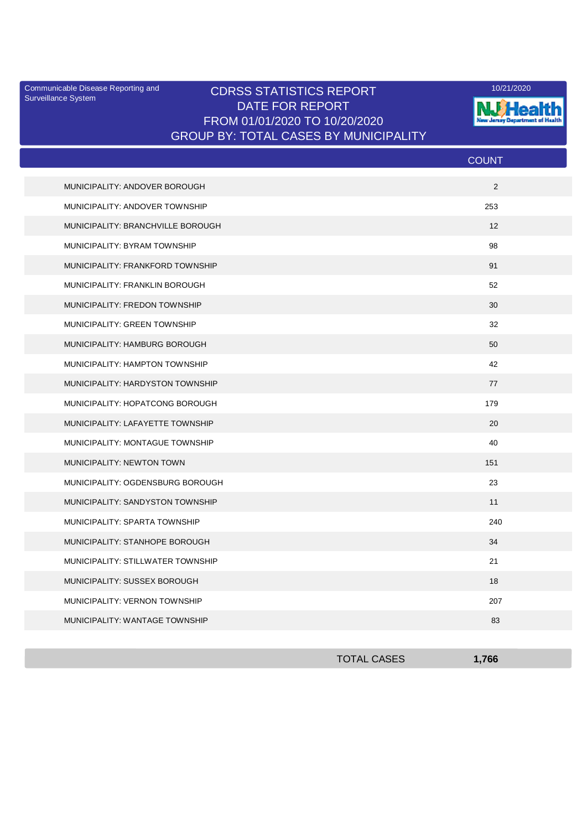Surveillance System

## Communicable Disease Reporting and **CDRSS STATISTICS REPORT** 10/21/2020<br>Surveillance Statem DATE FOR REPORT FROM 01/01/2020 TO 10/20/2020 GROUP BY: TOTAL CASES BY MUNICIPALITY



|                                   | <b>COUNT</b>      |  |
|-----------------------------------|-------------------|--|
| MUNICIPALITY: ANDOVER BOROUGH     | 2                 |  |
| MUNICIPALITY: ANDOVER TOWNSHIP    | 253               |  |
| MUNICIPALITY: BRANCHVILLE BOROUGH | $12 \overline{ }$ |  |
| MUNICIPALITY: BYRAM TOWNSHIP      | 98                |  |
| MUNICIPALITY: FRANKFORD TOWNSHIP  | 91                |  |
| MUNICIPALITY: FRANKLIN BOROUGH    | 52                |  |
| MUNICIPALITY: FREDON TOWNSHIP     | 30                |  |
| MUNICIPALITY: GREEN TOWNSHIP      | 32                |  |
| MUNICIPALITY: HAMBURG BOROUGH     | 50                |  |
| MUNICIPALITY: HAMPTON TOWNSHIP    | 42                |  |
| MUNICIPALITY: HARDYSTON TOWNSHIP  | 77                |  |
| MUNICIPALITY: HOPATCONG BOROUGH   | 179               |  |
| MUNICIPALITY: LAFAYETTE TOWNSHIP  | 20                |  |
| MUNICIPALITY: MONTAGUE TOWNSHIP   | 40                |  |
| MUNICIPALITY: NEWTON TOWN         | 151               |  |
| MUNICIPALITY: OGDENSBURG BOROUGH  | 23                |  |
| MUNICIPALITY: SANDYSTON TOWNSHIP  | 11                |  |
| MUNICIPALITY: SPARTA TOWNSHIP     | 240               |  |
| MUNICIPALITY: STANHOPE BOROUGH    | 34                |  |
| MUNICIPALITY: STILLWATER TOWNSHIP | 21                |  |
| MUNICIPALITY: SUSSEX BOROUGH      | 18                |  |
| MUNICIPALITY: VERNON TOWNSHIP     | 207               |  |
| MUNICIPALITY: WANTAGE TOWNSHIP    | 83                |  |

| <b>TOTAL CASES</b> | 1,766 |
|--------------------|-------|
|                    |       |